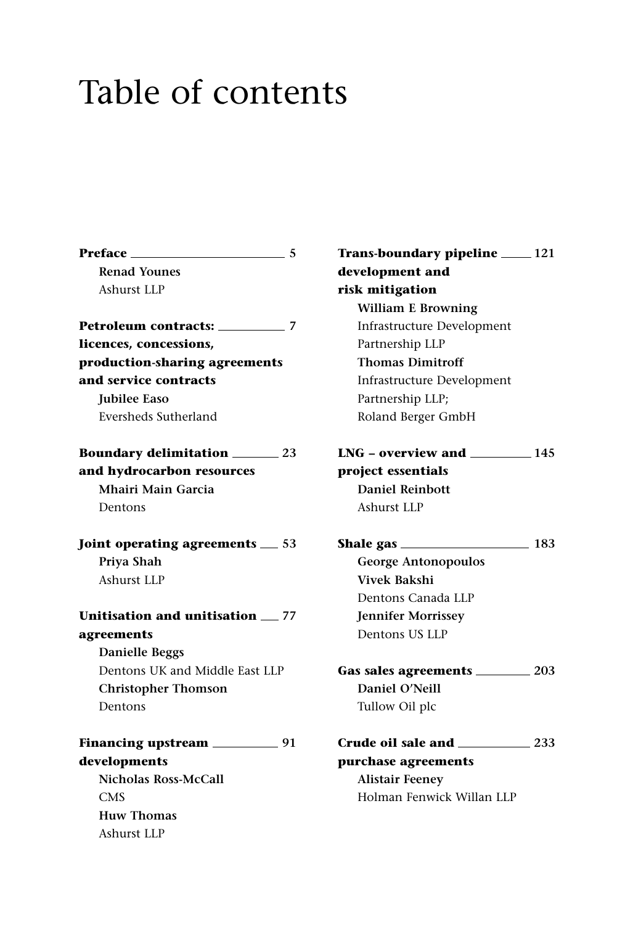## Table of contents

| Preface ____<br>$\sim$ 5                |  |
|-----------------------------------------|--|
| <b>Renad Younes</b>                     |  |
| Ashurst LLP                             |  |
| <b>Petroleum contracts:</b> 27          |  |
| licences, concessions,                  |  |
| production-sharing agreements           |  |
| and service contracts                   |  |
| <b>Iubilee Easo</b>                     |  |
| Eversheds Sutherland                    |  |
| <b>Boundary delimitation</b> _______ 23 |  |
| and hydrocarbon resources               |  |
| Mhairi Main Garcia                      |  |
| Dentons                                 |  |
| Joint operating agreements _53          |  |
| Priya Shah                              |  |
| <b>Ashurst LLP</b>                      |  |
| Unitisation and unitisation __ 77       |  |
| agreements                              |  |
| <b>Danielle Beggs</b>                   |  |
| Dentons UK and Middle East LLP          |  |
| <b>Christopher Thomson</b>              |  |
| Dentons                                 |  |
|                                         |  |
| developments                            |  |
| <b>Nicholas Ross-McCall</b>             |  |
| <b>CMS</b>                              |  |
| <b>Huw Thomas</b>                       |  |
| Ashurst LLP                             |  |
|                                         |  |

**Trans-boundary pipeline 121 development and risk mitigation William E Browning** Infrastructure Development Partnership LLP **Thomas Dimitroff** Infrastructure Development Partnership LLP; Roland Berger GmbH **LNG – overview and 145 project essentials Daniel Reinbott** Ashurst LLP **Shale gas 183 George Antonopoulos Vivek Bakshi** Dentons Canada LLP **Jennifer Morrissey** Dentons US LLP **Gas sales agreements 203 Daniel O'Neill** Tullow Oil plc **Crude oil sale and 233 purchase agreements Alistair Feeney** Holman Fenwick Willan LLP